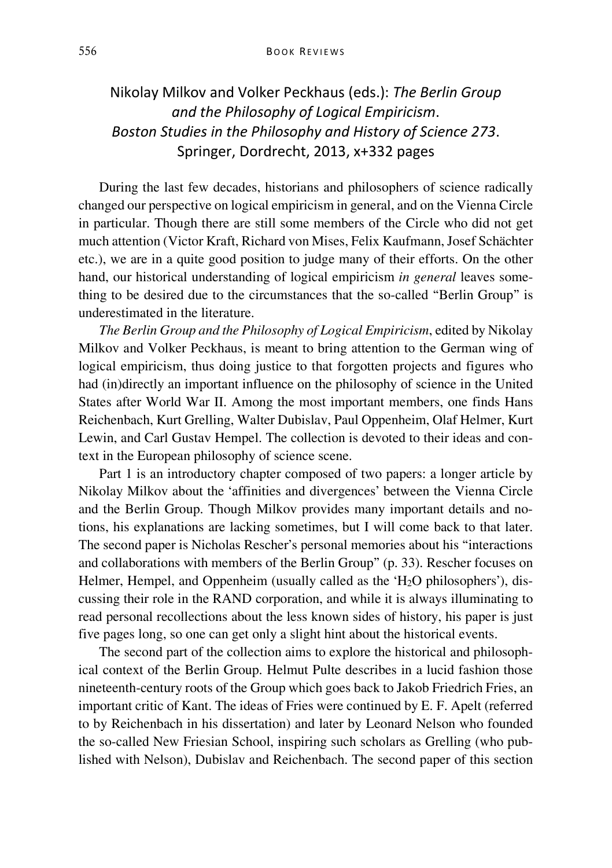## Nikolay Milkov and Volker Peckhaus (eds.): *The Berlin Group and the Philosophy of Logical Empiricism*. *Boston Studies in the Philosophy and History of Science 273*. Springer, Dordrecht, 2013, x+332 pages

During the last few decades, historians and philosophers of science radically changed our perspective on logical empiricism in general, and on the Vienna Circle in particular. Though there are still some members of the Circle who did not get much attention (Victor Kraft, Richard von Mises, Felix Kaufmann, Josef Schächter etc.), we are in a quite good position to judge many of their efforts. On the other hand, our historical understanding of logical empiricism *in general* leaves something to be desired due to the circumstances that the so-called "Berlin Group" is underestimated in the literature.

*The Berlin Group and the Philosophy of Logical Empiricism*, edited by Nikolay Milkov and Volker Peckhaus, is meant to bring attention to the German wing of logical empiricism, thus doing justice to that forgotten projects and figures who had (in)directly an important influence on the philosophy of science in the United States after World War II. Among the most important members, one finds Hans Reichenbach, Kurt Grelling, Walter Dubislav, Paul Oppenheim, Olaf Helmer, Kurt Lewin, and Carl Gustav Hempel. The collection is devoted to their ideas and context in the European philosophy of science scene.

Part 1 is an introductory chapter composed of two papers: a longer article by Nikolay Milkov about the 'affinities and divergences' between the Vienna Circle and the Berlin Group. Though Milkov provides many important details and notions, his explanations are lacking sometimes, but I will come back to that later. The second paper is Nicholas Rescher's personal memories about his "interactions and collaborations with members of the Berlin Group" (p. 33). Rescher focuses on Helmer, Hempel, and Oppenheim (usually called as the 'H<sub>2</sub>O philosophers'), discussing their role in the RAND corporation, and while it is always illuminating to read personal recollections about the less known sides of history, his paper is just five pages long, so one can get only a slight hint about the historical events.

The second part of the collection aims to explore the historical and philosophical context of the Berlin Group. Helmut Pulte describes in a lucid fashion those nineteenth-century roots of the Group which goes back to Jakob Friedrich Fries, an important critic of Kant. The ideas of Fries were continued by E. F. Apelt (referred to by Reichenbach in his dissertation) and later by Leonard Nelson who founded the so-called New Friesian School, inspiring such scholars as Grelling (who published with Nelson), Dubislav and Reichenbach. The second paper of this section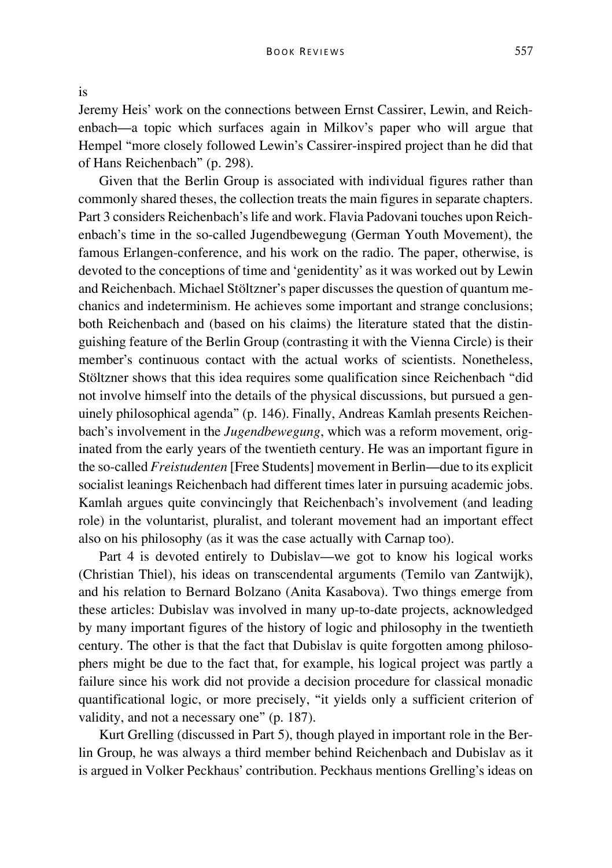is

Jeremy Heis' work on the connections between Ernst Cassirer, Lewin, and Reichenbach—a topic which surfaces again in Milkov's paper who will argue that Hempel "more closely followed Lewin's Cassirer-inspired project than he did that of Hans Reichenbach" (p. 298).

Given that the Berlin Group is associated with individual figures rather than commonly shared theses, the collection treats the main figures in separate chapters. Part 3 considers Reichenbach's life and work. Flavia Padovani touches upon Reichenbach's time in the so-called Jugendbewegung (German Youth Movement), the famous Erlangen-conference, and his work on the radio. The paper, otherwise, is devoted to the conceptions of time and 'genidentity' as it was worked out by Lewin and Reichenbach. Michael Stöltzner's paper discusses the question of quantum mechanics and indeterminism. He achieves some important and strange conclusions; both Reichenbach and (based on his claims) the literature stated that the distinguishing feature of the Berlin Group (contrasting it with the Vienna Circle) is their member's continuous contact with the actual works of scientists. Nonetheless, Stöltzner shows that this idea requires some qualification since Reichenbach "did not involve himself into the details of the physical discussions, but pursued a genuinely philosophical agenda" (p. 146). Finally, Andreas Kamlah presents Reichenbach's involvement in the *Jugendbewegung*, which was a reform movement, originated from the early years of the twentieth century. He was an important figure in the so-called *Freistudenten* [Free Students] movement in Berlin—due to its explicit socialist leanings Reichenbach had different times later in pursuing academic jobs. Kamlah argues quite convincingly that Reichenbach's involvement (and leading role) in the voluntarist, pluralist, and tolerant movement had an important effect also on his philosophy (as it was the case actually with Carnap too).

Part 4 is devoted entirely to Dubislav—we got to know his logical works (Christian Thiel), his ideas on transcendental arguments (Temilo van Zantwijk), and his relation to Bernard Bolzano (Anita Kasabova). Two things emerge from these articles: Dubislav was involved in many up-to-date projects, acknowledged by many important figures of the history of logic and philosophy in the twentieth century. The other is that the fact that Dubislav is quite forgotten among philosophers might be due to the fact that, for example, his logical project was partly a failure since his work did not provide a decision procedure for classical monadic quantificational logic, or more precisely, "it yields only a sufficient criterion of validity, and not a necessary one" (p. 187).

Kurt Grelling (discussed in Part 5), though played in important role in the Berlin Group, he was always a third member behind Reichenbach and Dubislav as it is argued in Volker Peckhaus' contribution. Peckhaus mentions Grelling's ideas on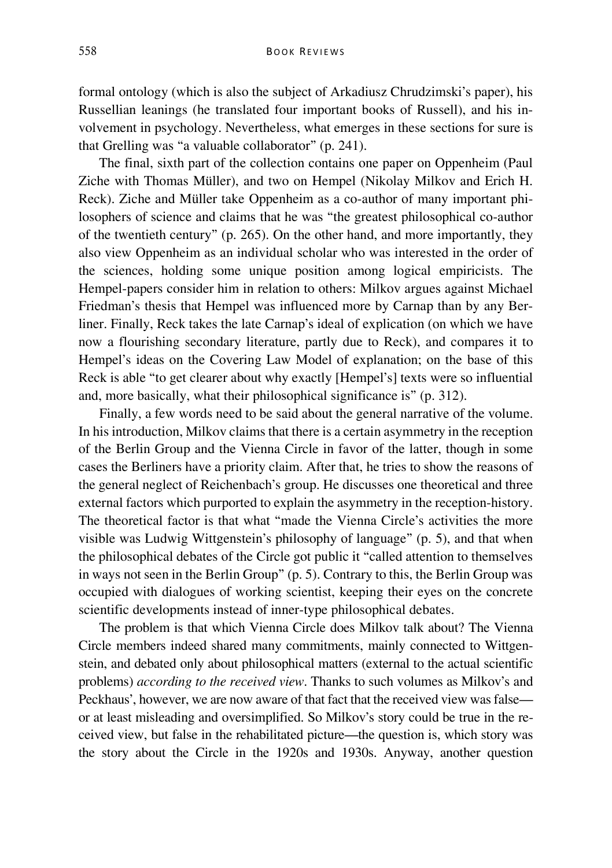formal ontology (which is also the subject of Arkadiusz Chrudzimski's paper), his Russellian leanings (he translated four important books of Russell), and his involvement in psychology. Nevertheless, what emerges in these sections for sure is that Grelling was "a valuable collaborator" (p. 241).

The final, sixth part of the collection contains one paper on Oppenheim (Paul Ziche with Thomas Müller), and two on Hempel (Nikolay Milkov and Erich H. Reck). Ziche and Müller take Oppenheim as a co-author of many important philosophers of science and claims that he was "the greatest philosophical co-author of the twentieth century" (p. 265). On the other hand, and more importantly, they also view Oppenheim as an individual scholar who was interested in the order of the sciences, holding some unique position among logical empiricists. The Hempel-papers consider him in relation to others: Milkov argues against Michael Friedman's thesis that Hempel was influenced more by Carnap than by any Berliner. Finally, Reck takes the late Carnap's ideal of explication (on which we have now a flourishing secondary literature, partly due to Reck), and compares it to Hempel's ideas on the Covering Law Model of explanation; on the base of this Reck is able "to get clearer about why exactly [Hempel's] texts were so influential and, more basically, what their philosophical significance is" (p. 312).

Finally, a few words need to be said about the general narrative of the volume. In his introduction, Milkov claims that there is a certain asymmetry in the reception of the Berlin Group and the Vienna Circle in favor of the latter, though in some cases the Berliners have a priority claim. After that, he tries to show the reasons of the general neglect of Reichenbach's group. He discusses one theoretical and three external factors which purported to explain the asymmetry in the reception-history. The theoretical factor is that what "made the Vienna Circle's activities the more visible was Ludwig Wittgenstein's philosophy of language" (p. 5), and that when the philosophical debates of the Circle got public it "called attention to themselves in ways not seen in the Berlin Group" (p. 5). Contrary to this, the Berlin Group was occupied with dialogues of working scientist, keeping their eyes on the concrete scientific developments instead of inner-type philosophical debates.

The problem is that which Vienna Circle does Milkov talk about? The Vienna Circle members indeed shared many commitments, mainly connected to Wittgenstein, and debated only about philosophical matters (external to the actual scientific problems) *according to the received view*. Thanks to such volumes as Milkov's and Peckhaus', however, we are now aware of that fact that the received view was false or at least misleading and oversimplified. So Milkov's story could be true in the received view, but false in the rehabilitated picture—the question is, which story was the story about the Circle in the 1920s and 1930s. Anyway, another question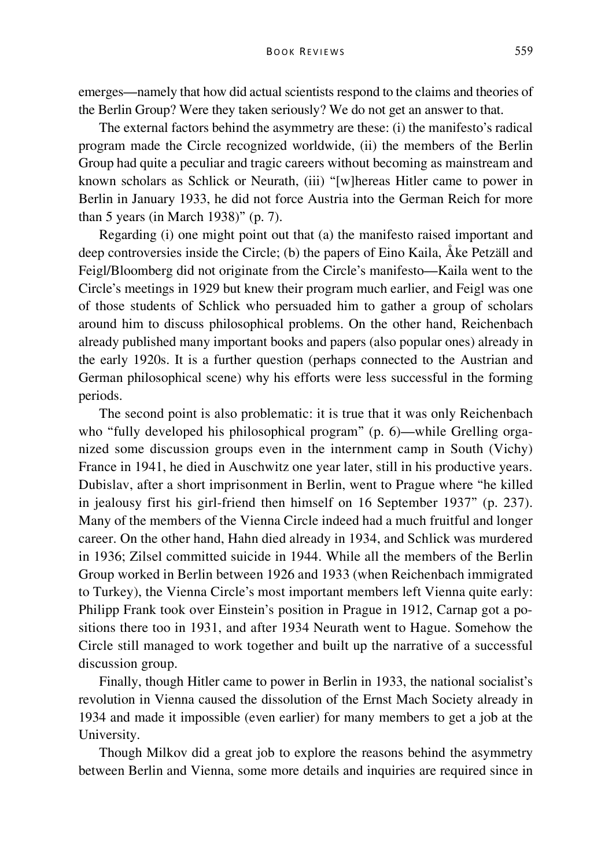emerges—namely that how did actual scientists respond to the claims and theories of the Berlin Group? Were they taken seriously? We do not get an answer to that.

The external factors behind the asymmetry are these: (i) the manifesto's radical program made the Circle recognized worldwide, (ii) the members of the Berlin Group had quite a peculiar and tragic careers without becoming as mainstream and known scholars as Schlick or Neurath, (iii) "[w]hereas Hitler came to power in Berlin in January 1933, he did not force Austria into the German Reich for more than 5 years (in March 1938)" (p. 7).

Regarding (i) one might point out that (a) the manifesto raised important and deep controversies inside the Circle; (b) the papers of Eino Kaila, Åke Petzäll and Feigl/Bloomberg did not originate from the Circle's manifesto—Kaila went to the Circle's meetings in 1929 but knew their program much earlier, and Feigl was one of those students of Schlick who persuaded him to gather a group of scholars around him to discuss philosophical problems. On the other hand, Reichenbach already published many important books and papers (also popular ones) already in the early 1920s. It is a further question (perhaps connected to the Austrian and German philosophical scene) why his efforts were less successful in the forming periods.

The second point is also problematic: it is true that it was only Reichenbach who "fully developed his philosophical program" (p. 6)—while Grelling organized some discussion groups even in the internment camp in South (Vichy) France in 1941, he died in Auschwitz one year later, still in his productive years. Dubislav, after a short imprisonment in Berlin, went to Prague where "he killed in jealousy first his girl-friend then himself on 16 September 1937" (p. 237). Many of the members of the Vienna Circle indeed had a much fruitful and longer career. On the other hand, Hahn died already in 1934, and Schlick was murdered in 1936; Zilsel committed suicide in 1944. While all the members of the Berlin Group worked in Berlin between 1926 and 1933 (when Reichenbach immigrated to Turkey), the Vienna Circle's most important members left Vienna quite early: Philipp Frank took over Einstein's position in Prague in 1912, Carnap got a positions there too in 1931, and after 1934 Neurath went to Hague. Somehow the Circle still managed to work together and built up the narrative of a successful discussion group.

Finally, though Hitler came to power in Berlin in 1933, the national socialist's revolution in Vienna caused the dissolution of the Ernst Mach Society already in 1934 and made it impossible (even earlier) for many members to get a job at the University.

Though Milkov did a great job to explore the reasons behind the asymmetry between Berlin and Vienna, some more details and inquiries are required since in